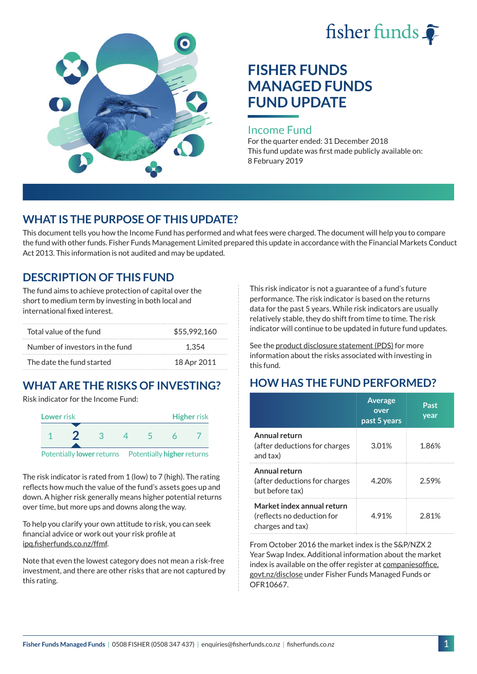



# **FISHER FUNDS MANAGED FUNDS FUND UPDATE**

#### Income Fund

For the quarter ended: 31 December 2018 This fund update was first made publicly available on: 8 February 2019

## **WHAT IS THE PURPOSE OF THIS UPDATE?**

This document tells you how the Income Fund has performed and what fees were charged. The document will help you to compare the fund with other funds. Fisher Funds Management Limited prepared this update in accordance with the Financial Markets Conduct Act 2013. This information is not audited and may be updated.

# **DESCRIPTION OF THIS FUND**

The fund aims to achieve protection of capital over the short to medium term by investing in both local and international fixed interest.

| Total value of the fund         | \$55,992,160 |
|---------------------------------|--------------|
| Number of investors in the fund | 1.354        |
| The date the fund started       | 18 Apr 2011  |

# **WHAT ARE THE RISKS OF INVESTING?**

Risk indicator for the Income Fund:



The risk indicator is rated from 1 (low) to 7 (high). The rating reflects how much the value of the fund's assets goes up and down. A higher risk generally means higher potential returns over time, but more ups and downs along the way.

To help you clarify your own attitude to risk, you can seek financial advice or work out your risk profile at [ipq.fisherfunds.co.nz/ffmf.](https://ipq.fisherfunds.co.nz/ffmf)

Note that even the lowest category does not mean a risk-free investment, and there are other risks that are not captured by this rating.

This risk indicator is not a guarantee of a fund's future performance. The risk indicator is based on the returns data for the past 5 years. While risk indicators are usually relatively stable, they do shift from time to time. The risk indicator will continue to be updated in future fund updates.

See the [product disclosure statement \(PDS\)](https://fisherfunds.co.nz/assets/PDS/Fisher-Funds-Managed-Funds-PDS.pdf) for more information about the risks associated with investing in this fund.

# **HOW HAS THE FUND PERFORMED?**

|                                                                              | <b>Average</b><br>over<br>past 5 years | Past<br>year |
|------------------------------------------------------------------------------|----------------------------------------|--------------|
| Annual return<br>(after deductions for charges<br>and tax)                   | 3.01%                                  | 1.86%        |
| Annual return<br>(after deductions for charges<br>but before tax)            | 4.20%                                  | 2.59%        |
| Market index annual return<br>(reflects no deduction for<br>charges and tax) | 4.91%                                  | 2.81%        |

From October 2016 the market index is the S&P/NZX 2 Year Swap Index. Additional information about the market index is available on the offer register at [companiesoffice.](http://companiesoffice.govt.nz/disclose) [govt.nz/disclose](http://companiesoffice.govt.nz/disclose) under Fisher Funds Managed Funds or OFR10667.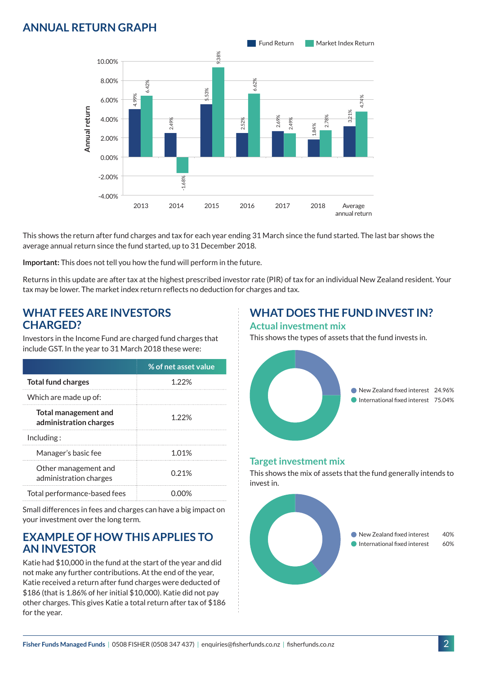## **ANNUAL RETURN GRAPH**



This shows the return after fund charges and tax for each year ending 31 March since the fund started. The last bar shows the average annual return since the fund started, up to 31 December 2018.

**Important:** This does not tell you how the fund will perform in the future.

Returns in this update are after tax at the highest prescribed investor rate (PIR) of tax for an individual New Zealand resident. Your tax may be lower. The market index return reflects no deduction for charges and tax.

#### **WHAT FEES ARE INVESTORS CHARGED?**

Investors in the Income Fund are charged fund charges that include GST. In the year to 31 March 2018 these were:

|                                                       | % of net asset value |
|-------------------------------------------------------|----------------------|
| <b>Total fund charges</b>                             | 1 22%                |
| Which are made up of:                                 |                      |
| <b>Total management and</b><br>administration charges | 1.22%                |
| Inding:                                               |                      |
| Manager's basic fee                                   | 1.01%                |
| Other management and<br>administration charges        | 0.21%                |
| Total performance-based fees                          |                      |

Small differences in fees and charges can have a big impact on your investment over the long term.

#### **EXAMPLE OF HOW THIS APPLIES TO AN INVESTOR**

Katie had \$10,000 in the fund at the start of the year and did not make any further contributions. At the end of the year, Katie received a return after fund charges were deducted of \$186 (that is 1.86% of her initial \$10,000). Katie did not pay other charges. This gives Katie a total return after tax of \$186 for the year.

#### **WHAT DOES THE FUND INVEST IN? Actual investment mix**

This shows the types of assets that the fund invests in.



#### **Target investment mix**

This shows the mix of assets that the fund generally intends to invest in.